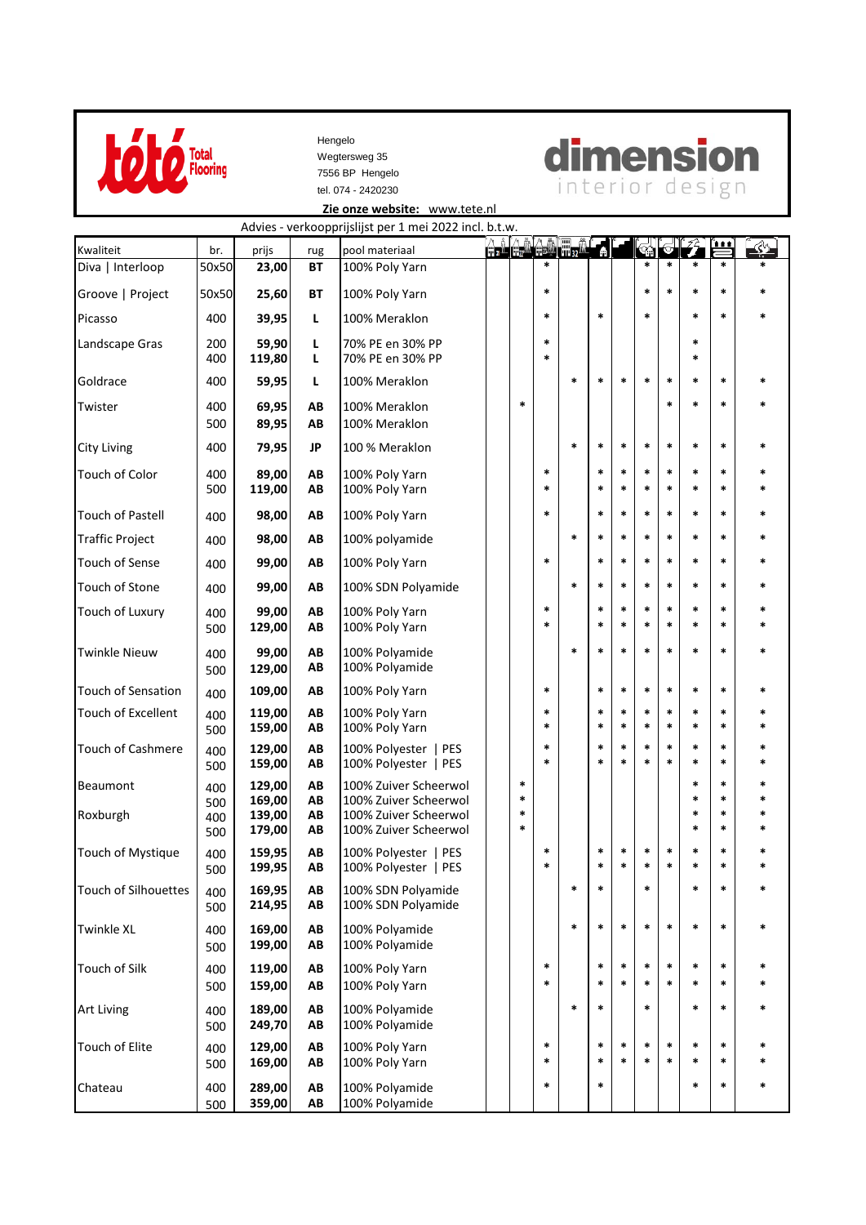

 7556 BP Hengelo tel. 074 - 2420230 Wegtersweg 35 Hengelo



 Advies - verkoopprijslijst per 1 mei 2022 incl. b.t.w.  **[Zie onze website:](http://www.tete-vloerbedekkingen.nl/)** www.tete.nl

|                           |                   |                  |           | Advies - Verkoopprijsiijst per 1 mei 2022 mei. D.t.w   |                  |             | <u>a. (a. 1a. 1a</u> . 1 |                  |                  |             |                  | ŹÈ.              | $\frac{1}{1}$    | $\ll$            |
|---------------------------|-------------------|------------------|-----------|--------------------------------------------------------|------------------|-------------|--------------------------|------------------|------------------|-------------|------------------|------------------|------------------|------------------|
| Kwaliteit                 | br.               | prijs            | rug       | pool materiaal                                         |                  | $\star$     |                          | Ŧ                |                  | *           | $\ast$           | $\star$          | *                | $\ast$           |
| Diva   Interloop          | 50x50             | 23,00            | <b>BT</b> | 100% Poly Yarn                                         |                  |             |                          |                  |                  |             |                  |                  |                  |                  |
| Groove   Project          | 50x50             | 25,60            | <b>BT</b> | 100% Poly Yarn                                         |                  | $\ast$      |                          |                  |                  | *           | $\ast$           | $\ast$           | $\ast$           | *                |
| Picasso                   | 400               | 39,95            | г         | 100% Meraklon                                          |                  | *           |                          | $\ast$           |                  | *           |                  | $\ast$           | $\ast$           | *                |
| Landscape Gras            | 200<br>400        | 59,90<br>119,80  | Г<br>L    | 70% PE en 30% PP<br>70% PE en 30% PP                   |                  | *<br>$\ast$ |                          |                  |                  |             |                  | $\ast$<br>$\ast$ |                  |                  |
| Goldrace                  | 400               | 59,95            | L         | 100% Meraklon                                          |                  |             | $\ast$                   | $\ast$           | $\ast$           | *           | $\ast$           | $\ast$           | $\ast$           |                  |
| Twister                   | 400<br>500        | 69,95<br>89,95   | AB<br>AB  | 100% Meraklon<br>100% Meraklon                         | *                |             |                          |                  |                  |             | $\ast$           | *                | $\ast$           |                  |
| <b>City Living</b>        | 400               | 79,95            | JP        | 100 % Meraklon                                         |                  |             | *                        | *                | $\ast$           | $\ast$      | $\ast$           | $\ast$           | $\ast$           | *                |
| Touch of Color            | 400<br>500        | 89,00<br>119,00  | AB<br>AB  | 100% Poly Yarn<br>100% Poly Yarn                       |                  | *<br>*      |                          | *<br>*           | $\ast$<br>$\ast$ | *<br>$\ast$ | $\ast$<br>$\ast$ | $\ast$<br>$\ast$ | *<br>*           | *<br>*           |
| <b>Touch of Pastell</b>   | 400               | 98,00            | AB        | 100% Poly Yarn                                         |                  | $\ast$      |                          | *                | $\ast$           | *           | $\ast$           | $\ast$           | $\ast$           | *                |
| <b>Traffic Project</b>    | 400               | 98,00            | AB        | 100% polyamide                                         |                  |             | $\ast$                   | $\ast$           | $\ast$           | *           | $\ast$           | $\ast$           | *                | *                |
| Touch of Sense            | 400               | 99,00            | AB        | 100% Poly Yarn                                         |                  | $\ast$      |                          | $\ast$           | $\ast$           | *           | $\ast$           | $\ast$           | $\ast$           | *                |
| <b>Touch of Stone</b>     | 400               | 99,00            | AB        | 100% SDN Polyamide                                     |                  |             | $\ast$                   | $\ast$           | $\ast$           | *           | $\ast$           | $\ast$           | $\ast$           | $\ast$           |
| Touch of Luxury           | 400<br>500        | 99,00<br>129,00  | AB<br>AB  | 100% Poly Yarn<br>100% Poly Yarn                       |                  | $\ast$<br>* |                          | $\ast$<br>$\ast$ | $\ast$<br>$\ast$ | *<br>*      | $\ast$<br>$\ast$ | *<br>$\ast$      | $\ast$<br>*      | *<br>*           |
| <b>Twinkle Nieuw</b>      | 400<br>500        | 99,00<br>129,00  | AB<br>AB  | 100% Polyamide<br>100% Polyamide                       |                  |             | $\ast$                   | $\ast$           | $\ast$           | *           | $\ast$           | $\ast$           | *                | *                |
| <b>Touch of Sensation</b> | 400               | 109,00           | AB        | 100% Poly Yarn                                         |                  | $\ast$      |                          | *                | $\ast$           | *           | $\ast$           | $\ast$           | $\ast$           | *                |
| <b>Touch of Excellent</b> | 400<br>500        | 119,00<br>159,00 | ΑВ<br>AB  | 100% Poly Yarn<br>100% Poly Yarn                       |                  | *<br>$\ast$ |                          | *<br>$\ast$      | $\ast$<br>$\ast$ | *<br>$\ast$ | $\ast$<br>$\ast$ | $\ast$<br>$\ast$ | *<br>$\ast$      | *<br>$\ast$      |
| <b>Touch of Cashmere</b>  | 400<br>500        | 129,00<br>159,00 | AB<br>AB  | 100% Polyester  <br><b>PES</b><br>100% Polyester   PES |                  | *<br>$\ast$ |                          | *<br>$\ast$      | $\ast$<br>$\ast$ | *<br>$\ast$ | $\ast$<br>$\ast$ | $\ast$<br>$\ast$ | *<br>*           | *                |
| Beaumont                  | 400               | 129,00<br>169,00 | AB<br>AB  | 100% Zuiver Scheerwol<br>100% Zuiver Scheerwol         | $\ast$<br>$\ast$ |             |                          |                  |                  |             |                  | *<br>$\ast$      | $\ast$<br>*      | *<br>$\ast$      |
| Roxburgh                  | 500<br>400<br>500 | 139,00<br>179,00 | AB<br>ΑВ  | 100% Zuiver Scheerwol<br>100% Zuiver Scheerwol         | $\ast$<br>*      |             |                          |                  |                  |             |                  | $\ast$<br>$\ast$ | *<br>*           | *<br>*           |
| Touch of Mystique         | 400<br>500        | 159,95<br>199,95 | ΑВ<br>AB  | 100% Polyester   PES<br>100% Polyester   PES           |                  | *           |                          | *<br>*           | $\ast$<br>ж.     | *<br>*      | $\ast$<br>$\ast$ | *<br>*           | *<br>*           | $\ast$<br>*      |
| Touch of Silhouettes      | 400<br>500        | 169,95<br>214,95 | AB<br>AB  | 100% SDN Polyamide<br>100% SDN Polyamide               |                  |             | $\ast$                   | *                |                  | $\ast$      |                  | *                | $\ast$           | $\ast$           |
| <b>Twinkle XL</b>         | 400<br>500        | 169,00<br>199,00 | AB<br>AB  | 100% Polyamide<br>100% Polyamide                       |                  |             | $\ast$                   | *                | $\ast$           | $\ast$      | $\ast$           | $\ast$           | $\ast$           | $\ast$           |
| <b>Touch of Silk</b>      | 400<br>500        | 119,00<br>159,00 | AB<br>AB  | 100% Poly Yarn<br>100% Poly Yarn                       |                  | $\ast$<br>* |                          | *<br>*           | $\ast$<br>$\ast$ | *<br>*      | $\ast$<br>$\ast$ | $\ast$<br>$\ast$ | $\ast$<br>*      | $\ast$<br>*      |
| <b>Art Living</b>         | 400<br>500        | 189,00<br>249,70 | AB<br>AB  | 100% Polyamide<br>100% Polyamide                       |                  |             | $\ast$                   | *                |                  | *           |                  | $\ast$           | *                | $\ast$           |
| Touch of Elite            | 400<br>500        | 129,00<br>169,00 | AB<br>AB  | 100% Poly Yarn<br>100% Poly Yarn                       |                  | $\ast$<br>* |                          | $\ast$<br>$\ast$ | $\ast$<br>$\ast$ | $\ast$<br>* | $\ast$<br>$\ast$ | $\ast$<br>$\ast$ | $\ast$<br>$\ast$ | $\ast$<br>$\ast$ |
| Chateau                   | 400<br>500        | 289,00<br>359,00 | AB<br>AB  | 100% Polyamide<br>100% Polyamide                       |                  | $\ast$      |                          | *                |                  |             |                  | $\ast$           | *                | $\ast$           |